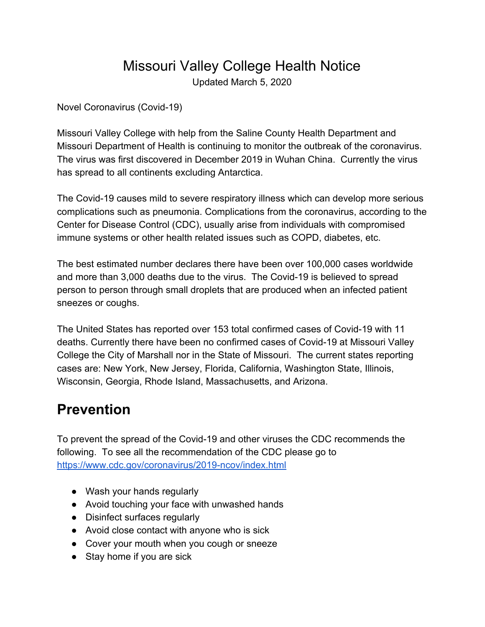## Missouri Valley College Health Notice

Updated March 5, 2020

Novel Coronavirus (Covid-19)

Missouri Valley College with help from the Saline County Health Department and Missouri Department of Health is continuing to monitor the outbreak of the coronavirus. The virus was first discovered in December 2019 in Wuhan China. Currently the virus has spread to all continents excluding Antarctica.

The Covid-19 causes mild to severe respiratory illness which can develop more serious complications such as pneumonia. Complications from the coronavirus, according to the Center for Disease Control (CDC), usually arise from individuals with compromised immune systems or other health related issues such as COPD, diabetes, etc.

The best estimated number declares there have been over 100,000 cases worldwide and more than 3,000 deaths due to the virus. The Covid-19 is believed to spread person to person through small droplets that are produced when an infected patient sneezes or coughs.

The United States has reported over 153 total confirmed cases of Covid-19 with 11 deaths. Currently there have been no confirmed cases of Covid-19 at Missouri Valley College the City of Marshall nor in the State of Missouri. The current states reporting cases are: New York, New Jersey, Florida, California, Washington State, Illinois, Wisconsin, Georgia, Rhode Island, Massachusetts, and Arizona.

## **Prevention**

To prevent the spread of the Covid-19 and other viruses the CDC recommends the following. To see all the recommendation of the CDC please go to <https://www.cdc.gov/coronavirus/2019-ncov/index.html>

- Wash your hands regularly
- Avoid touching your face with unwashed hands
- Disinfect surfaces regularly
- Avoid close contact with anyone who is sick
- Cover your mouth when you cough or sneeze
- Stay home if you are sick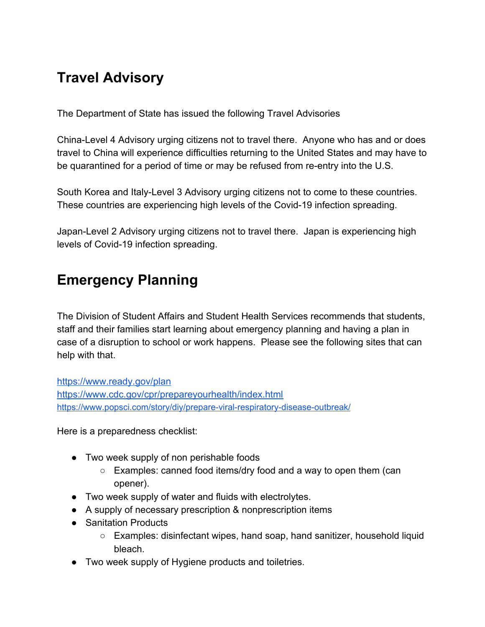## **Travel Advisory**

The Department of State has issued the following Travel Advisories

China-Level 4 Advisory urging citizens not to travel there. Anyone who has and or does travel to China will experience difficulties returning to the United States and may have to be quarantined for a period of time or may be refused from re-entry into the U.S.

South Korea and Italy-Level 3 Advisory urging citizens not to come to these countries. These countries are experiencing high levels of the Covid-19 infection spreading.

Japan-Level 2 Advisory urging citizens not to travel there. Japan is experiencing high levels of Covid-19 infection spreading.

## **Emergency Planning**

The Division of Student Affairs and Student Health Services recommends that students, staff and their families start learning about emergency planning and having a plan in case of a disruption to school or work happens. Please see the following sites that can help with that.

<https://www.ready.gov/plan> <https://www.cdc.gov/cpr/prepareyourhealth/index.html> <https://www.popsci.com/story/diy/prepare-viral-respiratory-disease-outbreak/>

Here is a preparedness checklist:

- Two week supply of non perishable foods
	- Examples: canned food items/dry food and a way to open them (can opener).
- Two week supply of water and fluids with electrolytes.
- A supply of necessary prescription & nonprescription items
- Sanitation Products
	- Examples: disinfectant wipes, hand soap, hand sanitizer, household liquid bleach.
- Two week supply of Hygiene products and toiletries.